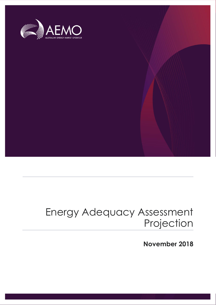

# Energy Adequacy Assessment Projection

**November 2018**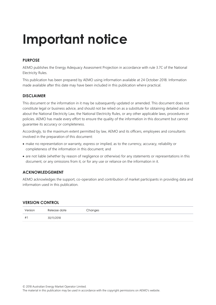# **Important notice**

### **PURPOSE**

AEMO publishes the Energy Adequacy Assessment Projection in accordance with rule 3.7C of the National Electricity Rules.

This publication has been prepared by AEMO using information available at 24 October 2018. Information made available after this date may have been included in this publication where practical.

#### **DISCLAIMER**

This document or the information in it may be subsequently updated or amended. This document does not constitute legal or business advice, and should not be relied on as a substitute for obtaining detailed advice about the National Electricity Law, the National Electricity Rules, or any other applicable laws, procedures or policies. AEMO has made every effort to ensure the quality of the information in this document but cannot guarantee its accuracy or completeness.

Accordingly, to the maximum extent permitted by law, AEMO and its officers, employees and consultants involved in the preparation of this document:

- make no representation or warranty, express or implied, as to the currency, accuracy, reliability or completeness of the information in this document; and
- are not liable (whether by reason of negligence or otherwise) for any statements or representations in this document, or any omissions from it, or for any use or reliance on the information in it.

### **ACKNOWLEDGEMENT**

AEMO acknowledges the support, co-operation and contribution of market participants in providing data and information used in this publication.

#### **VERSION CONTROL**

| Version | Release date | Changes |
|---------|--------------|---------|
| #       | 30/11/2018   |         |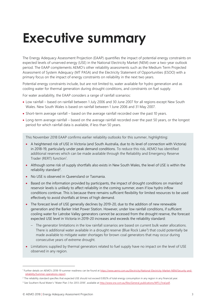# <span id="page-2-0"></span>**Executive summary**

The Energy Adequacy Assessment Projection (EAAP) quantifies the impact of potential energy constraints on expected levels of unserved energy (USE) in the National Electricity Market (NEM) over a two-year outlook period. The EAAP complements AEMO's other reliability assessments such as the Medium Term Projected Assessment of System Adequacy (MT PASA) and the Electricity Statement of Opportunities (ESOO) with a primary focus on the impact of energy constraints on reliability in the next two years.

Potential energy constraints include, but are not limited to, water available for hydro generation and as cooling water for thermal generation during drought conditions, and constraints on fuel supply.

For water availability, the EAAP considers a range of rainfall scenarios:

- Low rainfall based on rainfall between 1 July 2006 and 30 June 2007 for all regions except New South Wales. New South Wales is based on rainfall between 1 June 2006 and 31 May 2007.
- Short-term average rainfall based on the average rainfall recorded over the past 10 years.
- Long-term average rainfall based on the average rainfall recorded over the past 50 years, or the longest period for which rainfall data is available, if less than 50 years.

This November 2018 EAAP confirms earlier reliability outlooks for this summer, highlighting:

- A heightened risk of USE in Victoria (and South Australia, due to its level of connection with Victoria) in 2018-19, particularly under peak demand conditions. To reduce this risk, AEMO has identified additional reserves which can be made available through the Reliability and Emergency Reserve Trader (RERT) function<sup>1</sup>.
- Although some risk of supply shortfalls also exists in New South Wales, the level of USE is within the reliability standard<sup>2</sup>.
- No USE is observed in Queensland or Tasmania.
- Based on the information provided by participants, the impact of drought conditions on mainland reservoir levels is unlikely to affect reliability in the coming summer, even if low hydro inflow conditions continue. This is because there remains sufficient flexibility for limited resources to be used effectively to avoid shortfalls at times of high demand.
- The forecast level of USE generally declines by 2019-20, due to the addition of new renewable generation and the Barker Inlet Power Station. However, under low rainfall conditions, if sufficient cooling water for Latrobe Valley generators cannot be accessed from the drought reserve, the forecast expected USE level in Victoria in 2019-20 increases and exceeds the reliability standard:
	- The generator limitations in the low rainfall scenarios are based on current bulk water allocations. There is additional water available in a drought reserve (Blue Rock Lake<sup>3</sup>) that could potentially be made available to mitigate water shortages for brown coal generators that may occur during consecutive years of extreme drought.
- Limitations supplied by thermal generators related to fuel supply have no impact on the level of USE observed in any region.

<sup>&</sup>lt;sup>1</sup> Further details on AEMO's 2018-19 summer readiness can be found a[t https://www.aemo.com.au/Electricity/National-Electricity-Market-NEM/Security-and](https://www.aemo.com.au/Electricity/National-Electricity-Market-NEM/Security-and-reliability/Summer-operations-report)[reliability/Summer-operations-report.](https://www.aemo.com.au/Electricity/National-Electricity-Market-NEM/Security-and-reliability/Summer-operations-report)

<sup>&</sup>lt;sup>2</sup> The reliability standard specifies that expected USE should not exceed 0.002% of total energy consumption in any region in any financial year.

<sup>&</sup>lt;sup>3</sup> See Southern Rural Water's "Water Plan 3 for 2013-2018", available at http://www.srw.com.au/files/General\_publications/WP3\_Final.pdf.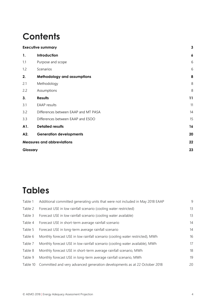# **Contents**

|          | <b>Executive summary</b>             | 3                |
|----------|--------------------------------------|------------------|
| 1.       | Introduction                         | $\boldsymbol{6}$ |
| 1.1      | Purpose and scope                    | $6\,$            |
| 1.2      | Scenarios                            | 6                |
| 2.       | Methodology and assumptions          | 8                |
| 2.1      | Methodology                          | 8                |
| 2.2      | Assumptions                          | 8                |
| 3.       | <b>Results</b>                       | 11               |
| 3.1      | <b>EAAP</b> results                  | 11               |
| 3.2      | Differences between EAAP and MT PASA | 14               |
| 3.3      | Differences between EAAP and ESOO    | 15               |
| A1.      | <b>Detailed results</b>              | 16               |
| A2.      | <b>Generation developments</b>       | 20               |
|          | <b>Measures and abbreviations</b>    | 22               |
| Glossary |                                      | 23               |
|          |                                      |                  |

## **Tables**

| Table 1  | Additional committed generating units that were not included in May 2018 EAAP | 9  |
|----------|-------------------------------------------------------------------------------|----|
| Table 2  | Forecast USE in low rainfall scenario (cooling water restricted)              | 13 |
| Table 3  | Forecast USE in low rainfall scenario (cooling water available)               | 13 |
| Table 4  | Forecast USE in short-term average rainfall scenario                          | 14 |
| Table 5  | Forecast USE in long-term average rainfall scenario                           | 14 |
| Table 6  | Monthly forecast USE in low rainfall scenario (cooling water restricted), MWh | 16 |
| Table 7  | Monthly forecast USE in low rainfall scenario (cooling water available), MWh  | 17 |
| Table 8  | Monthly forecast USE in short-term average rainfall scenario, MWh             | 18 |
| Table 9  | Monthly forecast USE in long-term average rainfall scenario, MWh              | 19 |
| Table 10 | Committed and very advanced generation developments as at 22 October 2018     | 20 |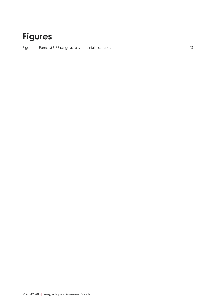## **Figures**

Figure 1 Forecast [USE range across all rainfall scenarios](#page-12-2) 13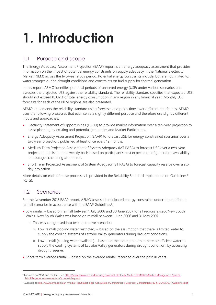# <span id="page-5-0"></span>**1. Introduction**

## <span id="page-5-1"></span>1.1 Purpose and scope

The Energy Adequacy Assessment Projection (EAAP) report is an energy adequacy assessment that provides information on the impact of potential energy constraints on supply adequacy in the National Electricity Market (NEM) across the two-year study period. Potential energy constraints include, but are not limited to, water storages during drought conditions and constraints on fuel supply for thermal generation.

In this report, AEMO identifies potential periods of unserved energy (USE) under various scenarios and assesses the projected USE against the reliability standard. The reliability standard specifies that expected USE should not exceed 0.002% of total energy consumption in any region in any financial year. Monthly USE forecasts for each of the NEM regions are also presented.

AEMO implements the reliability standard using forecasts and projections over different timeframes. AEMO uses the following processes that each serve a slightly different purpose and therefore use slightly different inputs and approaches:

- Electricity Statement of Opportunities (ESOO) to provide market information over a ten-year projection to assist planning by existing and potential generators and Market Participants.
- Energy Adequacy Assessment Projection (EAAP) to forecast USE for energy constrained scenarios over a two-year projection, published at least once every 12 months.
- Medium Term Projected Assessment of System Adequacy (MT PASA) to forecast USE over a two-year projection, published on a weekly basis based on participant's best expectation of generation availability and outage scheduling at the time.
- Short Term Projected Assessment of System Adequacy (ST PASA) to forecast capacity reserve over a sixday projection.

More details on each of these processes is provided in the Reliability Standard Implementation Guidelines<sup>4</sup> (RSIG).

## <span id="page-5-2"></span>1.2 Scenarios

l.

For the November 2018 EAAP report, AEMO assessed anticipated energy constraints under three different rainfall scenarios in accordance with the EAAP Guidelines<sup>5</sup>:

- Low rainfall based on rainfall between 1 July 2006 and 30 June 2007 for all regions except New South Wales. New South Wales was based on rainfall between 1 June 2006 and 31 May 2007.
	- This was categorised into two alternative scenarios:
		- Low rainfall (cooling water restricted) based on the assumption that there is limited water to supply the cooling systems of Latrobe Valley generators during drought conditions.
		- Low rainfall (cooling water available) based on the assumption that there is sufficient water to supply the cooling systems of Latrobe Valley generators during drought condition, by accessing drought reserve.
- Short-term average rainfall based on the average rainfall recorded over the past 10 years.

<sup>4</sup> For more on PASA and the RSIG, se[e https://www.aemo.com.au/Electricity/National-Electricity-Market-NEM/Data/Market-Management-System-](https://www.aemo.com.au/Electricity/National-Electricity-Market-NEM/Data/Market-Management-System-MMS/Projected-Assessment-of-System-Adequacy)[MMS/Projected-Assessment-of-System-Adequacy.](https://www.aemo.com.au/Electricity/National-Electricity-Market-NEM/Data/Market-Management-System-MMS/Projected-Assessment-of-System-Adequacy)

<sup>&</sup>lt;sup>5</sup> Available a[t http://www.aemo.com.au/-/media/Files/Stakeholder\\_Consultation/Consultations/Electricity\\_Consultations/2016/EAAP/EAAP\\_Guidelines.pdf.](http://www.aemo.com.au/-/media/Files/Stakeholder_Consultation/Consultations/Electricity_Consultations/2016/EAAP/EAAP_Guidelines.pdf)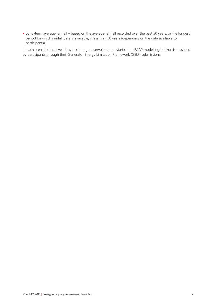Long-term average rainfall – based on the average rainfall recorded over the past 50 years, or the longest period for which rainfall data is available, if less than 50 years (depending on the data available to participants).

In each scenario, the level of hydro storage reservoirs at the start of the EAAP modelling horizon is provided by participants through their Generator Energy Limitation Framework (GELF) submissions.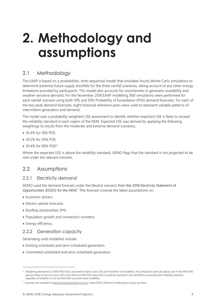# <span id="page-7-0"></span>**2. Methodology and assumptions**

### <span id="page-7-1"></span>2.1 Methodology

The EAAP is based on a probabilistic, time-sequential model that simulates hourly Monte Carlo simulations to determine potential future supply shortfalls for the three rainfall scenarios, taking account of any other energy limitations provided by participants. This model also accounts for uncertainties in generator availability and weather-sensitive demand. For the November 2018 EAAP modelling, 800 simulations were performed for each rainfall scenario using both 10% and 50% Probability of Exceedance (POE) demand forecasts. For each of the two peak demand forecasts, eight historical reference years were used to represent variable patterns of intermittent generation and demand.

The model uses a probability-weighted USE assessment to identify whether expected USE is likely to exceed the reliability standard in each region of the NEM. Expected USE was derived by applying the following weightings to results from the moderate and extreme demand scenarios:

- 30.4% for 10% POE.
- 39.2% for 50% POE.
- 30.4% for 90% POE<sup>6</sup>.

Where the expected USE is above the reliability standard, AEMO flags that the standard is not projected to be met under the relevant scenario.

### <span id="page-7-2"></span>2.2 Assumptions

### 2.2.1 Electricity demand

AEMO used the demand forecast under the Neutral scenario from the 2018 Electricity Statement of Opportunities (ESOO) for the NEM<sup>7</sup>. This forecast covered the latest assumptions on:

- Economic drivers.
- Electric vehicle forecasts.
- Rooftop photovoltaic (PV).
- Population growth and connection numbers.
- Energy efficiency.

 $\overline{a}$ 

### 2.2.2 Generation capacity

Generating units modelled include:

- Existing scheduled and semi-scheduled generation.
- Committed scheduled and semi-scheduled generation.

<sup>&</sup>lt;sup>6</sup> Weighting attributed to a 90% POE that is assumed to lead to zero USE and therefore not modelled. Any simulations with USE above zero in the 90% POE case are likely to have so much USE in the 50% and 10% POE cases that it would be expected to be identified as exceeding the reliability standard, regardless of whether or not the 90% POE outcomes were modelled.

<sup>&</sup>lt;sup>7</sup> Forecasts are available a[t http://forecasting.aemo.com.au/.](http://forecasting.aemo.com.au/) Select ESOO 2018 from Publications at pop-up menu.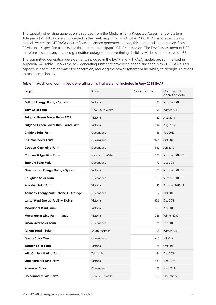The capacity of existing generation is sourced from the Medium Term Projected Assessment of System Adequacy (MT PASA) offers, submitted in the week beginning 22 October 2018. If USE is forecast during periods where the MT PASA offer reflects a planned generator outage, this outage will be removed from EAAP, unless specified as inflexible through the participant's GELF submission. The EAAP assessment of USE therefore assumes any planned generation outages that have timing flexibility will be shifted to avoid USE.

The committed generation developments included in the EAAP and MT PASA models are summarised in Appendix [A2.](#page-19-0) Table 1 shows the new generating units that have been added since the May 2018 EAAP. This capacity is not reliant on water for generation, reducing the power system's vulnerability to drought situations to maintain reliability.

| Project                                    | State           | Capacity (MW)  | Commercial<br>operation date |
|--------------------------------------------|-----------------|----------------|------------------------------|
| <b>Ballarat Energy Storage System</b>      | Victoria        | 30             | Summer 2018-19               |
| <b>Beryl Solar Farm</b>                    | New South Wales | 98             | Winter 2019                  |
| <b>Bulgana Green Power Hub - BESS</b>      | Victoria        | 20             | Aug 2019                     |
| <b>Bulgana Green Power Hub - Wind Farm</b> | Victoria        | 194            | Aug 2019                     |
| <b>Childers Solar Farm</b>                 | Queensland      | 56             | Feb 2019                     |
| <b>Clermont Solar Farm</b>                 | Queensland      | 92.5           | Oct 2018                     |
| <b>Coopers Gap Wind Farm</b>               | Queensland      | 350            | Jun 2019                     |
| <b>Crudine Ridge Wind Farm</b>             | New South Wales | 135            | Summer 2019-20               |
| <b>Emerald Solar Park</b>                  | Queensland      | 72             | Dec 2018                     |
| <b>Gannawarra Energy Storage System</b>    | Victoria        | 25             | Summer 2018-19               |
| <b>Haughton Solar Farm</b>                 | Queensland      | 100            | Summer 2018-19               |
| <b>Karadoc Solar Farm</b>                  | Victoria        | 90             | Summer 2018-19               |
| Kennedy Energy Park - Phase 1 - Storage    | Queensland      | $\overline{2}$ | Oct 2018                     |
| Lal Lal Wind Energy Facility- Elaine       | Victoria        | 83.6           | Dec 2018                     |
| <b>Moorabool Wind Farm</b>                 | Victoria        | 320            | Apr 2019                     |
| Murra Warra Wind Farm - Stage 1            | Victoria        | 226            | Winter 2019                  |
| <b>Susan River Solar Farm</b>              | Queensland      | 75             | Feb 2019                     |
| Tailem Bend - Solar                        | South Australia | 108            | Winter 2019                  |
| <b>Teebar Solar One</b>                    | Queensland      | 52.5           | Jul 2019                     |
| Wemen Solar Farm                           | Victoria        | 88             | Oct 2018                     |
| Wild Cattle Hill Wind Farm                 | Tasmania        | 144            | Dec 2019                     |
| <b>Stockyard Hill Wind Farm</b>            | Victoria        | 532            | Dec 2019                     |
| Yarranlea Solar                            | Queensland      | 103            | Aug 2019                     |
| <b>Coleambally Solar Farm</b>              | New South Wales | 150            | Operational                  |

<span id="page-8-0"></span>**Table 1 Additional committed generating units that were not included in May 2018 EAAP**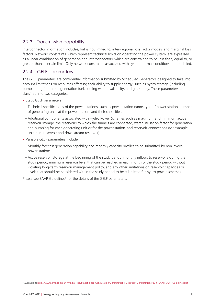### 2.2.3 Transmission capability

Interconnector information includes, but is not limited to, inter-regional loss factor models and marginal loss factors. Network constraints, which represent technical limits on operating the power system, are expressed as a linear combination of generation and interconnectors, which are constrained to be less than, equal to, or greater than a certain limit. Only network constraints associated with system normal conditions are modelled.

### 2.2.4 GELF parameters

The GELF parameters are confidential information submitted by Scheduled Generators designed to take into account limitations on resources affecting their ability to supply energy, such as hydro storage (including pump storage), thermal generation fuel, cooling water availability, and gas supply. These parameters are classified into two categories:

- Static GELF parameters:
	- Technical specifications of the power stations, such as power station name, type of power station, number of generating units at the power station, and their capacities.
- Additional components associated with Hydro Power Schemes such as maximum and minimum active reservoir storage, the reservoirs to which the tunnels are connected, water utilisation factor for generation and pumping for each generating unit or for the power station, and reservoir connections (for example, upstream reservoir and downstream reservoir).
- Variable GELF parameters include:
- Monthly forecast generation capability and monthly capacity profiles to be submitted by non-hydro power stations.
- Active reservoir storage at the beginning of the study period, monthly inflows to reservoirs during the study period, minimum reservoir level that can be reached in each month of the study period without violating long-term reservoir management policy, and any other limitations on reservoir capacities or levels that should be considered within the study period to be submitted for hydro power schemes.

Please see EAAP Guidelines<sup>8</sup> for the details of the GELF parameters.

<sup>&</sup>lt;sup>8</sup> Available a[t http://www.aemo.com.au/-/media/Files/Stakeholder\\_Consultation/Consultations/Electricity\\_Consultations/2016/EAAP/EAAP\\_Guidelines.pdf.](http://www.aemo.com.au/-/media/Files/Stakeholder_Consultation/Consultations/Electricity_Consultations/2016/EAAP/EAAP_Guidelines.pdf)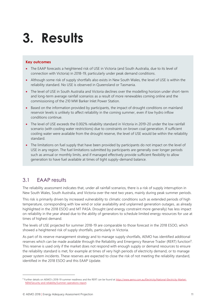# <span id="page-10-0"></span>**3. Results**

#### **Key outcomes**

- The EAAP forecasts a heightened risk of USE in Victoria (and South Australia, due to its level of connection with Victoria) in 2018-19, particularly under peak demand conditions.
- Although some risk of supply shortfalls also exists in New South Wales, the level of USE is within the reliability standard. No USE is observed in Queensland or Tasmania.
- The level of USE in South Australia and Victoria declines over the modelling horizon under short-term and long-term average rainfall scenarios as a result of more renewables coming online and the commissioning of the 210 MW Barker Inlet Power Station.
- Based on the information provided by participants, the impact of drought conditions on mainland reservoir levels is unlikely to affect reliability in the coming summer, even if low hydro inflow conditions continue.
- The level of USE exceeds the 0.002% reliability standard in Victoria in 2019-20 under the low rainfall scenario (with cooling water restrictions) due to constraints on brown coal generation. If sufficient cooling water were available from the drought reserve, the level of USE would be within the reliability standard.
- The limitations on fuel supply that have been provided by participants do not impact on the level of USE in any region. The fuel limitations submitted by participants are generally over longer periods such as annual or monthly limits, and if managed effectively provide sufficient flexibility to allow generation to have fuel available at times of tight supply-demand balance.

### <span id="page-10-1"></span>3.1 EAAP results

The reliability assessment indicates that, under all rainfall scenarios, there is a risk of supply interruption in New South Wales, South Australia, and Victoria over the next two years, mainly during peak summer periods.

This risk is primarily driven by increased vulnerability to climatic conditions such as extended periods of high temperature, corresponding with low wind or solar availability and unplanned generation outages, as already highlighted in the 2018 ESOO and MT PASA. Drought (and energy constraint more generally) has less impact on reliability in the year ahead due to the ability of generators to schedule limited energy resources for use at times of highest demand.

The levels of USE projected for summer 2018-19 are comparable to those forecast in the 2018 ESOO, which showed a heightened risk of supply shortfalls, particularly in Victoria.

As part of its reserve management strategy and to manage supply shortfalls, AEMO has identified additional reserves which can be made available through the Reliability and Emergency Reserve Trader (RERT) function<sup>9</sup>. This reserve is used only if the market does not respond with enough supply or demand resources to ensure the reliability standard is met, for example at times of very high periods of electricity demand, or to manage power system incidents. These reserves are expected to close the risk of not meeting the reliability standard, identified in the 2018 ESOO and this EAAP Update.

<sup>&</sup>lt;sup>9</sup> Further details on AEMO's 2018-19 summer readiness and the RERT can be found a[t https://www.aemo.com.au/Electricity/National-Electricity-Market-](https://www.aemo.com.au/Electricity/National-Electricity-Market-NEM/Security-and-reliability/Summer-operations-report)[NEM/Security-and-reliability/Summer-operations-report.](https://www.aemo.com.au/Electricity/National-Electricity-Market-NEM/Security-and-reliability/Summer-operations-report)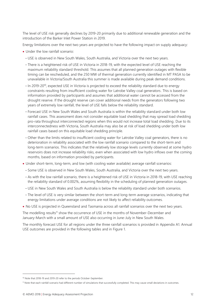The level of USE risk generally declines by 2019-20 primarily due to additional renewable generation and the introduction of the Barker Inlet Power Station in 2019.

Energy limitations over the next two years are projected to have the following impact on supply adequacy:

- Under the low rainfall scenario:
	- USE is observed in New South Wales, South Australia, and Victoria over the next two years.
	- There is a heightened risk of USE in Victoria in 2018-19, with the expected level of USE reaching the maximum reliability standard threshold. This assumes that all planned generation outages with flexible timing can be rescheduled, and the 250 MW of thermal generation currently identified in MT PASA to be unavailable in Victoria/South Australia this summer is made available during peak demand conditions.
	- In 2019-20<sup>10</sup>, expected USE in Victoria is projected to exceed the reliability standard due to energy constraints resulting from insufficient cooling water for Latrobe Valley coal generators. This is based on information provided by participants and assumes that additional water cannot be accessed from the drought reserve. If the drought reserve can cover additional needs from the generators following two years of extremely low rainfall, the level of USE falls below the reliability standard.
	- Forecast USE in New South Wales and South Australia is within the reliability standard under both low rainfall cases. This assessment does not consider equitable load shedding that may spread load shedding pro-rata throughout interconnected regions when this would not increase total load shedding. Due to its interconnectedness with Victoria, South Australia may also be at risk of load shedding under both low rainfall cases based on this equitable load shedding principle.
	- Other than the limits related to insufficient cooling water for Latrobe Valley coal generators, there is no deterioration in reliability associated with the low rainfall scenario compared to the short-term and long-term scenarios. This indicates that the relatively low storage levels currently observed at some hydro reservoirs does not increase reliability risks, even when associated with low hydro inflows over the coming months, based on information provided by participants.
- Under short-term, long-term, and low (with cooling water available) average rainfall scenarios:
	- Some USE is observed in New South Wales, South Australia, and Victoria over the next two years.
	- As with the low rainfall scenario, there is a heightened risk of USE in Victoria in 2018-19, with USE reaching the reliability standard of 0.002%, assuming flexibility in the scheduling of planned generation outages.
	- USE in New South Wales and South Australia is below the reliability standard under both scenarios.
	- The level of USE is very similar between the short-term and long-term average scenarios, indicating that energy limitations under average conditions are not likely to affect reliability outcomes.
- No USE is projected in Queensland and Tasmania across all rainfall scenarios over the next two years.

The modelling results<sup>11</sup> show the occurrence of USE in the months of November-December and January-March with a small amount of USE also occurring in June-July in New South Wales.

The monthly forecast USE for all regions under the three rainfall scenarios is provided in Appendix [A1.](#page-15-0) Annual USE outcomes are provided in the following tables and in [Figure 1.](#page-12-2)

<sup>&</sup>lt;sup>10</sup> Note that 2018-19 and 2019-20 refer to the periods October-September.

<sup>11</sup> Note that each rainfall scenario had different number of simulations that successfully completed. This may cause small deviations in outcomes.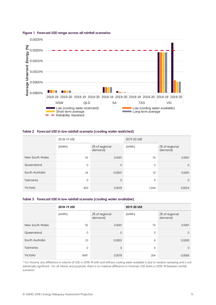

#### <span id="page-12-2"></span>**Figure 1 Forecast USE range across all rainfall scenarios**

#### <span id="page-12-0"></span>**Table 2 Forecast USE in low rainfall scenario (cooling water restricted)**

|                 | 2018-19 USE |                           | 2019-20 USE |                           |  |
|-----------------|-------------|---------------------------|-------------|---------------------------|--|
|                 | (MWh)       | (% of regional<br>demand) | (MWh)       | (% of regional<br>demand) |  |
| New South Wales | 93          | 0.0001                    | 76          | 0.0001                    |  |
| Queensland      | 0           | $\overline{0}$            | $\mathbf 0$ | $\mathbf{0}$              |  |
| South Australia | 34          | 0.0003                    | 10          | 0.0001                    |  |
| Tasmania        | 0           | $\overline{0}$            | $\mathbf 0$ | $\Omega$                  |  |
| Victoria        | 850         | 0.0019                    | 1,044       | 0.0024                    |  |

#### <span id="page-12-1"></span>**Table 3 Forecast USE in low rainfall scenario (cooling water available)**

|                 | 2018-19 USE |                           | 2019-20 USE |                           |  |
|-----------------|-------------|---------------------------|-------------|---------------------------|--|
|                 | (MWh)       | (% of regional<br>demand) | (MWh)       | (% of regional<br>demand) |  |
| New South Wales | 92          | 0.0001                    | 76          | 0.0001                    |  |
| Queensland      | 0           | $\Omega$                  | $\mathbf 0$ | $\Omega$                  |  |
| South Australia | 33          | 0.0003                    | 6           | 0.0000                    |  |
| Tasmania        | 0           | $\overline{0}$            | $\mathbf 0$ | $\mathbf{0}$              |  |
| Victoria        | 849*        | 0.0019                    | 264         | 0.0006                    |  |

\* For Victoria, any difference in volume of USE in 2018-19 with and without cooling water available is due to random sampling and is not statistically significant. For all intents and purposes, there is no material difference in Victorian USE levels in 2018-19 between rainfall scenarios.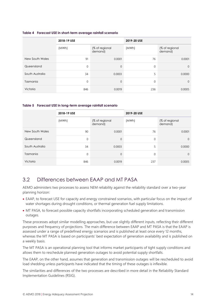|                 | 2018-19 USE |                           | 2019-20 USE  |                           |  |
|-----------------|-------------|---------------------------|--------------|---------------------------|--|
|                 | (MWh)       | (% of regional<br>demand) | (MWh)        | (% of regional<br>demand) |  |
| New South Wales | 91          | 0.0001                    | 76           | 0.0001                    |  |
| Queensland      | 0           | $\Omega$                  | $\mathbf{0}$ | $\Omega$                  |  |
| South Australia | 34          | 0.0003                    | 5            | 0.0000                    |  |
| Tasmania        | 0           | $\Omega$                  | $\mathbf{0}$ | $\mathbf{0}$              |  |
| Victoria        | 846         | 0.0019                    | 236          | 0.0005                    |  |

#### <span id="page-13-1"></span>**Table 4 Forecast USE in short-term average rainfall scenario**

#### <span id="page-13-2"></span>**Table 5 Forecast USE in long-term average rainfall scenario**

|                 | 2018-19 USE  |                           | 2019-20 USE |                           |  |
|-----------------|--------------|---------------------------|-------------|---------------------------|--|
|                 | (MWh)        | (% of regional<br>demand) | (MWh)       | (% of regional<br>demand) |  |
| New South Wales | 90           | 0.0001                    | 76          | 0.0001                    |  |
| Queensland      | 0            | $\mathbf 0$               | 0           | $\Omega$                  |  |
| South Australia | 34           | 0.0003                    | 5           | 0.0000                    |  |
| Tasmania        | $\mathbf{0}$ | $\mathbf 0$               | $\mathbf 0$ | $\Omega$                  |  |
| Victoria        | 846          | 0.0019                    | 237         | 0.0005                    |  |

### <span id="page-13-0"></span>3.2 Differences between EAAP and MT PASA

AEMO administers two processes to assess NEM reliability against the reliability standard over a two-year planning horizon:

- EAAP, to forecast USE for capacity and energy constrained scenarios, with particular focus on the impact of water shortages during drought conditions, or thermal generation fuel supply limitations.
- MT PASA, to forecast possible capacity shortfalls incorporating scheduled generation and transmission outages.

These processes adopt similar modelling approaches, but use slightly different inputs, reflecting their different purposes and frequency of projections. The main difference between EAAP and MT PASA is that the EAAP is assessed under a range of predefined energy scenarios and is published at least once every 12 months, whereas the MT PASA is based on participants' best expectation of generation availability and is published on a weekly basis.

The MT PASA is an operational planning tool that informs market participants of tight supply conditions and allows them to reschedule planned generation outages to avoid potential supply shortfalls.

The EAAP, on the other hand, assumes that generation and transmission outages will be rescheduled to avoid load shedding unless participants have indicated that the timing of these outages is inflexible.

The similarities and differences of the two processes are described in more detail in the Reliability Standard Implementation Guidelines (RSIG).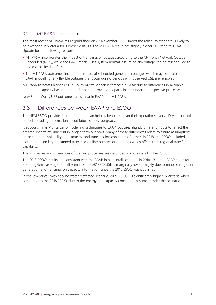### 3.2.1 MT PASA projections

The most recent MT PASA result (published on 27 November 2018) shows the reliability standard is likely to be exceeded in Victoria for summer 2018-19. The MT PASA result has slightly higher USE than this EAAP Update for the following reasons:

- MT PASA incorporates the impact of transmission outages according to the 13-month Network Outage Scheduled (NOS), while the EAAP model uses system normal, assuming any outage can be rescheduled to avoid capacity shortfalls.
- The MT PASA outcomes include the impact of scheduled generation outages which may be flexible. In EAAP modelling, any flexible outages that occur during periods with observed USE are removed.

MT PASA forecasts higher USE in South Australia than is forecast in EAAP due to differences in available generation capacity based on the information provided by participants under the respective processes.

New South Wales USE outcomes are similar in EAAP and MT PASA.

### <span id="page-14-0"></span>3.3 Differences between EAAP and ESOO

The NEM ESOO provides information that can help stakeholders plan their operations over a 10-year outlook period, including information about future supply adequacy.

It adopts similar Monte Carlo modelling techniques to EAAP, but uses slightly different inputs to reflect the greater uncertainty inherent in longer-term outlooks. Many of these differences relate to future assumptions on generation availability and capacity, and transmission constraints. Further, in 2018, the ESOO included assumptions on key unplanned transmission line outages or deratings which affect inter-regional transfer capability.

The similarities and differences of the two processes are described in more detail in the RSIG.

The 2018 ESOO results are consistent with the EAAP in all rainfall scenarios in 2018-19. In the EAAP short-term and long-term average rainfall scenarios the 2019-20 USE is marginally lower, largely due to minor changes in generation and transmission capacity information since the 2018 ESOO was published.

In the low rainfall with cooling water restricted scenario, 2019-20 USE is significantly higher in Victoria when compared to the 2018 ESOO, due to the energy and capacity constraints assumed under this scenario.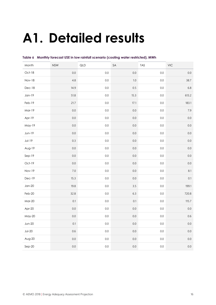# <span id="page-15-0"></span>**A1. Detailed results**

| Month         | <b>NSW</b> | QLD     | SA      | <b>TAS</b> | $\ensuremath{\mathsf{V}}\xspace\ensuremath{\mathsf{IC}}\xspace$ |
|---------------|------------|---------|---------|------------|-----------------------------------------------------------------|
| $Oct-18$      | 0.0        | 0.0     | 0.0     | $0.0\,$    | $0.0\,$                                                         |
| <b>Nov-18</b> | 4.8        | $0.0\,$ | $1.0\,$ | $0.0\,$    | 38.7                                                            |
| $Dec-18$      | 14.9       | 0.0     | 0.5     | $0.0\,$    | $6.8\,$                                                         |
| $Jan-19$      | 51.8       | $0.0\,$ | 15.3    | $0.0\,$    | 613.2                                                           |
| Feb-19        | 21.7       | $0.0\,$ | 17.1    | $0.0\,$    | 183.1                                                           |
| Mar-19        | 0.0        | $0.0\,$ | $0.0\,$ | $0.0\,$    | $7.9\,$                                                         |
| Apr-19        | 0.0        | $0.0\,$ | $0.0\,$ | $0.0\,$    | $0.0\,$                                                         |
| May-19        | 0.0        | $0.0\,$ | $0.0\,$ | $0.0\,$    | $0.0\,$                                                         |
| $Jun-19$      | $0.0\,$    | $0.0\,$ | $0.0\,$ | $0.0\,$    | $0.0\,$                                                         |
| $Jul-19$      | $0.3\,$    | $0.0\,$ | $0.0\,$ | $0.0\,$    | $0.0\,$                                                         |
| Aug-19        | $0.0\,$    | $0.0\,$ | $0.0\,$ | $0.0\,$    | $0.0\,$                                                         |
| $Sep-19$      | $0.0\,$    | $0.0\,$ | $0.0\,$ | $0.0\,$    | $0.0\,$                                                         |
| Oct-19        | $0.0\,$    | $0.0\,$ | $0.0\,$ | $0.0\,$    | $0.0\,$                                                         |
| Nov-19        | $7.0\,$    | $0.0\,$ | $0.0\,$ | $0.0\,$    | 8.1                                                             |
| $Dec-19$      | 15.3       | $0.0\,$ | $0.0\,$ | $0.0\,$    | 0.1                                                             |
| $Jan-20$      | 19.8       | $0.0\,$ | $3.5\,$ | $0.0\,$    | 199.1                                                           |
| Feb-20        | 32.8       | $0.0\,$ | $6.3\,$ | $0.0\,$    | 720.8                                                           |
| $Mar-20$      | 0.1        | $0.0\,$ | $0.1\,$ | $0.0\,$    | 115.7                                                           |
| Apr-20        | $0.0\,$    | $0.0\,$ | $0.0\,$ | $0.0\,$    | $0.0\,$                                                         |
| May-20        | $0.0\,$    | $0.0\,$ | $0.0\,$ | $0.0\,$    | $0.6\,$                                                         |
| $Jun-20$      | 0.1        | $0.0\,$ | $0.0\,$ | $0.0\,$    | $0.0\,$                                                         |
| $Jul-20$      | 0.6        | $0.0\,$ | $0.0\,$ | $0.0\,$    | $0.0\,$                                                         |
| $Avg-20$      | $0.0\,$    | $0.0\,$ | $0.0\,$ | $0.0\,$    | $0.0\,$                                                         |
| $Sep-20$      | $0.0\,$    | $0.0\,$ | $0.0\,$ | $0.0\,$    | $0.0\,$                                                         |

<span id="page-15-1"></span>

|  |  |  | Table 6 Monthly forecast USE in low rainfall scenario (cooling water restricted), MWh |  |  |
|--|--|--|---------------------------------------------------------------------------------------|--|--|
|--|--|--|---------------------------------------------------------------------------------------|--|--|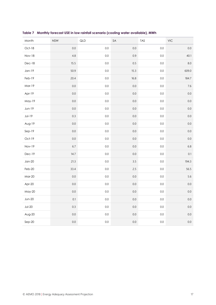| Month         | <b>NSW</b> | QLD     | SA      | TAS     | $\ensuremath{\mathsf{V}}\xspace\ensuremath{\mathsf{IC}}\xspace$ |
|---------------|------------|---------|---------|---------|-----------------------------------------------------------------|
| Oct-18        | $0.0\,$    | $0.0\,$ | $0.0\,$ | $0.0\,$ | $0.0\,$                                                         |
| <b>Nov-18</b> | 4.8        | $0.0\,$ | 0.9     | $0.0\,$ | 40.1                                                            |
| $Dec-18$      | $15.5\,$   | $0.0\,$ | $0.5\,$ | $0.0\,$ | $8.0\,$                                                         |
| $Jan-19$      | 50.9       | $0.0\,$ | 15.3    | $0.0\,$ | 609.0                                                           |
| Feb-19        | 20.4       | $0.0\,$ | $16.8$  | $0.0\,$ | 184.7                                                           |
| Mar-19        | $0.0\,$    | $0.0\,$ | $0.0\,$ | $0.0\,$ | $7.6\,$                                                         |
| Apr-19        | $0.0\,$    | $0.0\,$ | $0.0\,$ | $0.0\,$ | $0.0\,$                                                         |
| May-19        | $0.0\,$    | $0.0\,$ | $0.0\,$ | $0.0\,$ | $0.0\,$                                                         |
| Jun-19        | $0.0\,$    | $0.0\,$ | $0.0\,$ | $0.0\,$ | $0.0\,$                                                         |
| $Jul-19$      | $0.3\,$    | $0.0\,$ | $0.0\,$ | $0.0\,$ | $0.0\,$                                                         |
| Aug-19        | $0.0\,$    | $0.0\,$ | $0.0\,$ | $0.0\,$ | $0.0\,$                                                         |
| $Sep-19$      | $0.0\,$    | $0.0\,$ | $0.0\,$ | $0.0\,$ | $0.0\,$                                                         |
| Oct-19        | $0.0\,$    | 0.0     | $0.0\,$ | $0.0\,$ | $0.0\,$                                                         |
| Nov-19        | 6.7        | $0.0\,$ | $0.0\,$ | $0.0\,$ | $6.8\,$                                                         |
| Dec-19        | 14.7       | $0.0\,$ | $0.0\,$ | $0.0\,$ | $0.1\,$                                                         |
| $Jan-20$      | 21.3       | $0.0\,$ | $3.5\,$ | $0.0\,$ | 194.3                                                           |
| Feb-20        | 33.4       | $0.0\,$ | $2.5\,$ | $0.0\,$ | 56.5                                                            |
| <b>Mar-20</b> | $0.0\,$    | $0.0\,$ | $0.0\,$ | $0.0\,$ | 5.6                                                             |
| Apr-20        | $0.0\,$    | $0.0\,$ | $0.0\,$ | $0.0\,$ | $0.0\,$                                                         |
| May-20        | 0.0        | $0.0\,$ | $0.0\,$ | $0.0\,$ | $0.0\,$                                                         |
| $Jun-20$      | 0.1        | 0.0     | $0.0\,$ | $0.0\,$ | $0.0\,$                                                         |
| $Jul-20$      | 0.3        | $0.0\,$ | $0.0\,$ | $0.0\,$ | $0.0\,$                                                         |
| $Avg-20$      | $0.0\,$    | $0.0\,$ | $0.0\,$ | $0.0\,$ | $0.0\,$                                                         |
| $Sep-20$      | $0.0\,$    | $0.0\,$ | $0.0\,$ | $0.0\,$ | $0.0\,$                                                         |

<span id="page-16-0"></span>**Table 7 Monthly forecast USE in low rainfall scenario (cooling water available), MWh**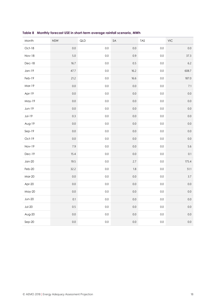| Month         | <b>NSW</b> | QLD     | SA      | <b>TAS</b> | $\ensuremath{\mathsf{V}}\xspace\ensuremath{\mathsf{IC}}\xspace$ |
|---------------|------------|---------|---------|------------|-----------------------------------------------------------------|
| Oct-18        | $0.0\,$    | $0.0\,$ | $0.0\,$ | $0.0\,$    | $0.0\,$                                                         |
| <b>Nov-18</b> | $5.0\,$    | $0.0\,$ | $0.9\,$ | $0.0\,$    | 37.3                                                            |
| Dec-18        | 16.7       | $0.0\,$ | $0.5\,$ | $0.0\,$    | $6.2\,$                                                         |
| $Jan-19$      | 47.7       | $0.0\,$ | 16.2    | $0.0\,$    | 608.7                                                           |
| Feb-19        | 21.2       | $0.0\,$ | $16.6$  | $0.0\,$    | 187.0                                                           |
| Mar-19        | $0.0\,$    | $0.0\,$ | $0.0\,$ | $0.0\,$    | $7.1\,$                                                         |
| Apr-19        | $0.0\,$    | $0.0\,$ | $0.0\,$ | $0.0\,$    | $0.0\,$                                                         |
| May-19        | $0.0\,$    | $0.0\,$ | $0.0\,$ | $0.0\,$    | $0.0\,$                                                         |
| Jun-19        | $0.0\,$    | $0.0\,$ | $0.0\,$ | $0.0\,$    | $0.0\,$                                                         |
| $J$ ul-19     | $0.3\,$    | $0.0\,$ | $0.0\,$ | $0.0\,$    | $0.0\,$                                                         |
| Aug-19        | $0.0\,$    | $0.0\,$ | $0.0\,$ | $0.0\,$    | $0.0\,$                                                         |
| $Sep-19$      | $0.0\,$    | $0.0\,$ | $0.0\,$ | $0.0\,$    | $0.0\,$                                                         |
| Oct-19        | $0.0\,$    | $0.0\,$ | $0.0\,$ | $0.0\,$    | $0.0\,$                                                         |
| Nov-19        | $7.9\,$    | $0.0\,$ | $0.0\,$ | $0.0\,$    | 5.6                                                             |
| Dec-19        | 15.4       | $0.0\,$ | $0.0\,$ | $0.0\,$    | $0.1\,$                                                         |
| $Jan-20$      | 19.5       | $0.0\,$ | 2.7     | $0.0\,$    | 175.4                                                           |
| Feb-20        | 32.2       | $0.0\,$ | $1.8\,$ | $0.0\,$    | 51.1                                                            |
| <b>Mar-20</b> | $0.0\,$    | $0.0\,$ | $0.0\,$ | $0.0\,$    | 3.7                                                             |
| Apr-20        | $0.0\,$    | $0.0\,$ | $0.0\,$ | $0.0\,$    | $0.0\,$                                                         |
| May-20        | 0.0        | $0.0\,$ | $0.0\,$ | $0.0\,$    | $0.0\,$                                                         |
| $Jun-20$      | 0.1        | 0.0     | $0.0\,$ | 0.0        | $0.0\,$                                                         |
| $Jul-20$      | 0.5        | $0.0\,$ | $0.0\,$ | $0.0\,$    | $0.0\,$                                                         |
| $Avg-20$      | $0.0\,$    | $0.0\,$ | $0.0\,$ | $0.0\,$    | $0.0\,$                                                         |
| $Sep-20$      | $0.0\,$    | $0.0\,$ | $0.0\,$ | $0.0\,$    | $0.0\,$                                                         |

<span id="page-17-0"></span>**Table 8 Monthly forecast USE in short-term average rainfall scenario, MWh**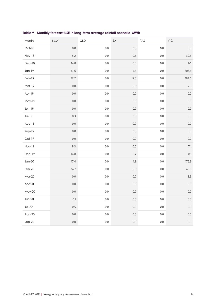| Month         | <b>NSW</b> | QLD     | SA       | <b>TAS</b> | VIC     |
|---------------|------------|---------|----------|------------|---------|
| Oct-18        | 0.0        | 0.0     | $0.0\,$  | $0.0\,$    | $0.0\,$ |
| <b>Nov-18</b> | 5.2        | $0.0\,$ | $0.6\,$  | $0.0\,$    | 39.5    |
| $Dec-18$      | 14.8       | $0.0\,$ | $0.5\,$  | $0.0\,$    | $6.1\,$ |
| $Jan-19$      | 47.6       | $0.0\,$ | $15.5\,$ | $0.0\,$    | 607.6   |
| Feb-19        | 22.2       | $0.0\,$ | 17.5     | $0.0\,$    | 184.6   |
| Mar-19        | 0.0        | $0.0\,$ | $0.0\,$  | $0.0\,$    | $7.8\,$ |
| Apr-19        | $0.0\,$    | $0.0\,$ | $0.0\,$  | $0.0\,$    | $0.0\,$ |
| May-19        | $0.0\,$    | $0.0\,$ | $0.0\,$  | $0.0\,$    | $0.0\,$ |
| $Jun-19$      | $0.0\,$    | $0.0\,$ | $0.0\,$  | $0.0\,$    | $0.0\,$ |
| $J$ ul-19     | $0.3\,$    | $0.0\,$ | $0.0\,$  | $0.0\,$    | $0.0\,$ |
| Aug-19        | $0.0\,$    | $0.0\,$ | $0.0\,$  | $0.0\,$    | $0.0\,$ |
| $Sep-19$      | $0.0\,$    | $0.0\,$ | $0.0\,$  | $0.0\,$    | $0.0\,$ |
| Oct-19        | $0.0\,$    | $0.0\,$ | $0.0\,$  | $0.0\,$    | $0.0\,$ |
| Nov-19        | $8.3\,$    | $0.0\,$ | $0.0\,$  | $0.0\,$    | $7.1\,$ |
| Dec-19        | 14.8       | $0.0\,$ | 2.7      | $0.0\,$    | 0.1     |
| $Jan-20$      | 17.4       | $0.0\,$ | 1.9      | $0.0\,$    | 176.3   |
| Feb-20        | 34.7       | $0.0\,$ | $0.0\,$  | $0.0\,$    | 49.8    |
| $Mar-20$      | $0.0\,$    | $0.0\,$ | $0.0\,$  | $0.0\,$    | 3.9     |
| Apr-20        | $0.0\,$    | $0.0\,$ | $0.0\,$  | $0.0\,$    | $0.0\,$ |
| May-20        | $0.0\,$    | $0.0\,$ | $0.0\,$  | $0.0\,$    | $0.0\,$ |
| $Jun-20$      | 0.1        | $0.0\,$ | $0.0\,$  | $0.0\,$    | $0.0\,$ |
| $Jul-20$      | 0.5        | $0.0\,$ | $0.0\,$  | $0.0\,$    | $0.0\,$ |
| $Avg-20$      | $0.0\,$    | $0.0\,$ | $0.0\,$  | $0.0\,$    | $0.0\,$ |
| $Sep-20$      | 0.0        | $0.0\,$ | $0.0\,$  | $0.0\,$    | $0.0\,$ |

<span id="page-18-0"></span>**Table 9 Monthly forecast USE in long-term average rainfall scenario, MWh**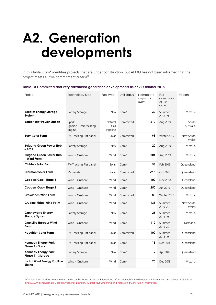# <span id="page-19-0"></span>**A2. Generation developments**

In this table, Com\* identifies projects that are under construction, but AEMO has not been informed that the project meets all five commitment criteria<sup>12</sup>.

#### <span id="page-19-1"></span>**Table 10 Committed and very advanced generation developments as at 22 October 2018**

| Project                                           | Technology type                           | Fuel type                  | Unit status      | Nameplate<br>capacity<br>(MW) | Full<br>commerci<br>al use<br>date | Region             |
|---------------------------------------------------|-------------------------------------------|----------------------------|------------------|-------------------------------|------------------------------------|--------------------|
| <b>Ballarat Energy Storage</b><br>System          | <b>Battery Storage</b>                    | N/A                        | $Com*$           | 30                            | Summer<br>2018-19                  | Victoria           |
| <b>Barker Inlet Power Station</b>                 | Spark<br>Ignition Reciprocating<br>Engine | Natural<br>Gas<br>Pipeline | Committed        | 210                           | Aug 2019                           | South<br>Australia |
| <b>Beryl Solar Farm</b>                           | PV-Tracking Flat panel                    | Solar                      | Committed        | 98                            | Winter 2019                        | New South<br>Wales |
| <b>Bulgana Green Power Hub</b><br>- BESS          | <b>Battery Storage</b>                    | N/A                        | $Com*$           | 20                            | Aug 2019                           | Victoria           |
| <b>Bulgana Green Power Hub</b><br>- Wind Farm     | Wind - Onshore                            | Wind                       | $Com*$           | 204                           | Aug 2019                           | Victoria           |
| <b>Childers Solar Farm</b>                        | PV-Tracking Flat panel                    | Solar                      | $Com*$           | 56                            | Feb 2019                           | Oueensland         |
| <b>Clermont Solar Farm</b>                        | PV panels                                 | Solar                      | Committed        | 92.5                          | Oct 2018                           | Oueensland         |
| Coopers Gap-Stage 1                               | Wind - Onshore                            | Wind                       | $Com*$           | 100                           | Nov 2018                           | Queensland         |
| Coopers Gap-Stage 2                               | Wind - Onshore                            | Wind                       | $Com*$           | 250                           | Jun 2019                           | Queensland         |
| <b>Crowlands Wind Farm</b>                        | Wind - Onshore                            | Wind                       | Committed        | 80                            | Winter 2019                        | Victoria           |
| <b>Crudine Ridge Wind Farm</b>                    | Wind - Onshore                            | Wind                       | $Com*$           | 135                           | Summer<br>2019-20                  | New South<br>Wales |
| <b>Gannawarra Energy</b><br><b>Storage System</b> | <b>Battery Storage</b>                    | N/A                        | $Com*$           | 25                            | Summer<br>2018-19                  | Victoria           |
| <b>Granville Harbour Wind</b><br>Farm             | Wind - Onshore                            | Wind                       | Com <sup>*</sup> | 112                           | Summer<br>2019-20                  | Tasmania           |
| <b>Haughton Solar Farm</b>                        | PV-Tracking Flat panel                    | Solar                      | Committed        | 100                           | Summer<br>2018-19                  | Oueensland         |
| Kennedy Energy Park -<br>Phase 1 - Solar          | PV-Tracking Flat panel                    | Solar                      | $Com*$           | 15                            | Dec 2018                           | Queensland         |
| Kennedy Energy Park -<br>Phase 1 - Storage        | <b>Battery Storage</b>                    | N/A                        | $Com*$           | $\mathbf 2$                   | Apr 2019                           | Queensland         |
| Lal Lal Wind Energy Facility-<br>Elaine           | Wind - Onshore                            | Wind                       | $Com*$           | 70                            | Dec 2018                           | Victoria           |

<sup>&</sup>lt;sup>12</sup> Information on AEMO's commitment criteria can be found under the Background Information tab in the Generation Information spreadsheets available at <https://www.aemo.com.au/Electricity/National-Electricity-Market-NEM/Planning-and-forecasting/Generation-information>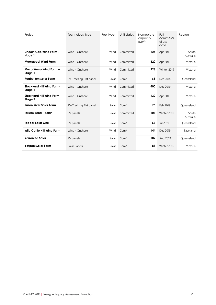| Project                                     | Technology type        | Fuel type | Unit status | Nameplate<br>capacity<br>(MW) | Full<br>commerci<br>al use<br>date | Region             |
|---------------------------------------------|------------------------|-----------|-------------|-------------------------------|------------------------------------|--------------------|
| Lincoln Gap Wind Farm -<br>stage 1          | Wind - Onshore         | Wind      | Committed   | 126                           | Apr 2019                           | South<br>Australia |
| <b>Moorabool Wind Farm</b>                  | Wind - Onshore         | Wind      | Committed   | 320                           | Apr 2019                           | Victoria           |
| Murra Warra Wind Farm -<br>Stage 1          | Wind - Onshore         | Wind      | Committed   | 226                           | Winter 2019                        | Victoria           |
| <b>Rugby Run Solar Farm</b>                 | PV-Tracking Flat panel | Solar     | $Com*$      | 65                            | Dec 2018                           | Oueensland         |
| <b>Stockyard Hill Wind Farm-</b><br>Stage 1 | Wind - Onshore         | Wind      | Committed   | 400                           | Dec 2019                           | Victoria           |
| <b>Stockyard Hill Wind Farm-</b><br>Stage 2 | Wind - Onshore         | Wind      | Committed   | 132                           | Apr 2019                           | Victoria           |
| <b>Susan River Solar Farm</b>               | PV-Tracking Flat panel | Solar     | $Com*$      | 75                            | Feb 2019                           | Oueensland         |
| Tailem Bend - Solar                         | PV panels              | Solar     | Committed   | 108                           | Winter 2019                        | South<br>Australia |
| <b>Teebar Solar One</b>                     | PV panels              | Solar     | $Com*$      | 53                            | Jul 2019                           | Oueensland         |
| <b>Wild Cattle Hill Wind Farm</b>           | Wind - Onshore         | Wind      | $Com*$      | 144                           | Dec 2019                           | Tasmania           |
| Yarranlea Solar                             | PV panels              | Solar     | $Com*$      | 102                           | Aug 2019                           | Oueensland         |
| <b>Yatpool Solar Farm</b>                   | Solar Panels           | Solar     | $Com*$      | 81                            | Winter 2019                        | Victoria           |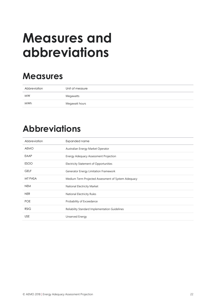# <span id="page-21-0"></span>**Measures and abbreviations**

## **Measures**

| Abbreviation | Unit of measure |
|--------------|-----------------|
| <b>MW</b>    | Megawatts       |
| <b>MWh</b>   | Megawatt hours  |

## **Abbreviations**

| Abbreviation | Expanded name                                       |
|--------------|-----------------------------------------------------|
| <b>AEMO</b>  | Australian Energy Market Operator                   |
| EAAP         | Energy Adequacy Assessment Projection               |
| <b>ESOO</b>  | Electricity Statement of Opportunities              |
| <b>GELF</b>  | Generator Energy Limitation Framework               |
| MT PASA      | Medium Term Projected Assessment of System Adequacy |
| <b>NEM</b>   | National Electricity Market                         |
| <b>NER</b>   | National Electricity Rules                          |
| <b>POE</b>   | Probability of Exceedance                           |
| <b>RSIG</b>  | Reliability Standard Implementation Guidelines      |
| <b>USE</b>   | Unserved Energy                                     |